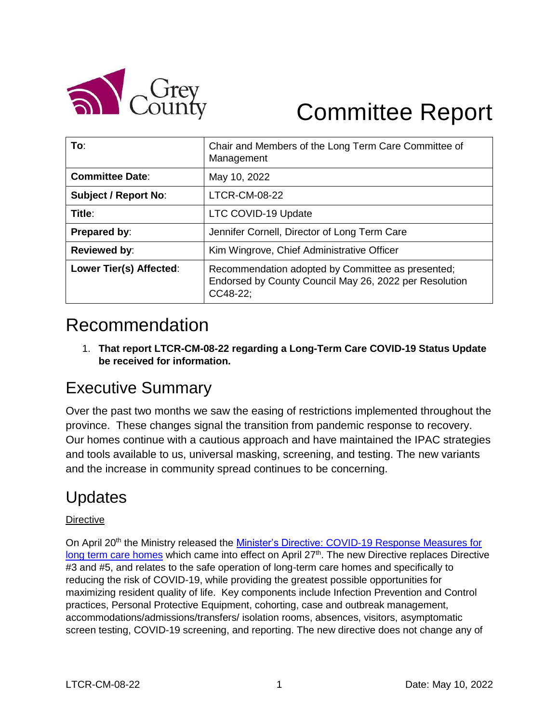

# Committee Report

| To:                         | Chair and Members of the Long Term Care Committee of<br>Management                                                      |
|-----------------------------|-------------------------------------------------------------------------------------------------------------------------|
| <b>Committee Date:</b>      | May 10, 2022                                                                                                            |
| <b>Subject / Report No:</b> | <b>LTCR-CM-08-22</b>                                                                                                    |
| Title:                      | LTC COVID-19 Update                                                                                                     |
| Prepared by:                | Jennifer Cornell, Director of Long Term Care                                                                            |
| <b>Reviewed by:</b>         | Kim Wingrove, Chief Administrative Officer                                                                              |
| Lower Tier(s) Affected:     | Recommendation adopted by Committee as presented;<br>Endorsed by County Council May 26, 2022 per Resolution<br>CC48-22; |

# Recommendation

1. **That report LTCR-CM-08-22 regarding a Long-Term Care COVID-19 Status Update be received for information.** 

### Executive Summary

Over the past two months we saw the easing of restrictions implemented throughout the province. These changes signal the transition from pandemic response to recovery. Our homes continue with a cautious approach and have maintained the IPAC strategies and tools available to us, universal masking, screening, and testing. The new variants and the increase in community spread continues to be concerning.

## Updates

#### **Directive**

On April 20<sup>th</sup> the Ministry released the Minister's Directive: COVID-19 Response Measures for [long term care homes](https://ltchomes.net/LTCHPORTAL/Content/Ministers%20Directive%20-%20COVID%2019%20Response%20Measures%202022.04.25.pdf) which came into effect on April 27<sup>th</sup>. The new Directive replaces Directive #3 and #5, and relates to the safe operation of long-term care homes and specifically to reducing the risk of COVID-19, while providing the greatest possible opportunities for maximizing resident quality of life. Key components include Infection Prevention and Control practices, Personal Protective Equipment, cohorting, case and outbreak management, accommodations/admissions/transfers/ isolation rooms, absences, visitors, asymptomatic screen testing, COVID-19 screening, and reporting. The new directive does not change any of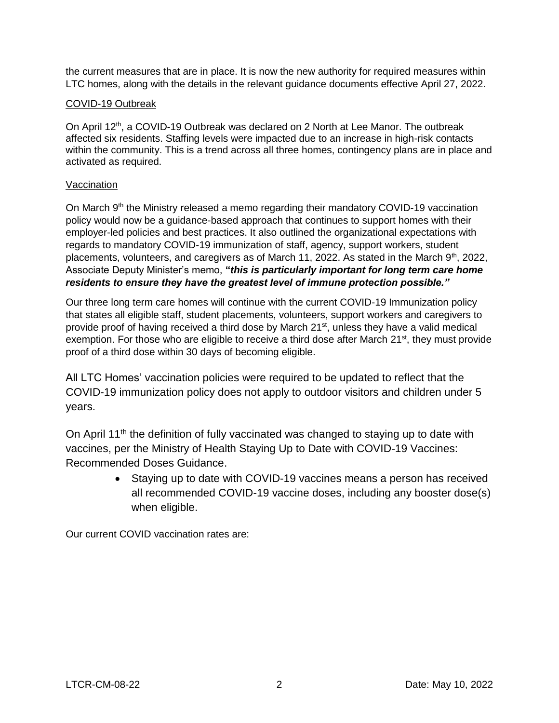the current measures that are in place. It is now the new authority for required measures within LTC homes, along with the details in the relevant guidance documents effective April 27, 2022.

#### COVID-19 Outbreak

On April 12<sup>th</sup>, a COVID-19 Outbreak was declared on 2 North at Lee Manor. The outbreak affected six residents. Staffing levels were impacted due to an increase in high-risk contacts within the community. This is a trend across all three homes, contingency plans are in place and activated as required.

#### Vaccination

On March 9<sup>th</sup> the Ministry released a memo regarding their mandatory COVID-19 vaccination policy would now be a guidance-based approach that continues to support homes with their employer-led policies and best practices. It also outlined the organizational expectations with regards to mandatory COVID-19 immunization of staff, agency, support workers, student placements, volunteers, and caregivers as of March 11, 2022. As stated in the March 9<sup>th</sup>, 2022, Associate Deputy Minister's memo, **"***this is particularly important for long term care home residents to ensure they have the greatest level of immune protection possible."* 

Our three long term care homes will continue with the current COVID-19 Immunization policy that states all eligible staff, student placements, volunteers, support workers and caregivers to provide proof of having received a third dose by March 21<sup>st</sup>, unless they have a valid medical exemption. For those who are eligible to receive a third dose after March 21<sup>st</sup>, they must provide proof of a third dose within 30 days of becoming eligible.

All LTC Homes' vaccination policies were required to be updated to reflect that the COVID-19 immunization policy does not apply to outdoor visitors and children under 5 years.

On April 11<sup>th</sup> the definition of fully vaccinated was changed to staying up to date with vaccines, per the Ministry of Health Staying Up to Date with COVID-19 Vaccines: Recommended Doses Guidance.

> • Staying up to date with COVID-19 vaccines means a person has received all recommended COVID-19 vaccine doses, including any booster dose(s) when eligible.

Our current COVID vaccination rates are: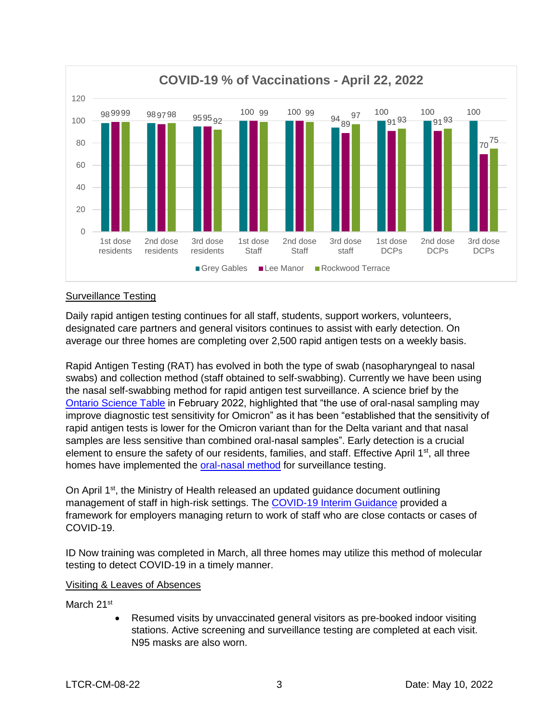

#### Surveillance Testing

Daily rapid antigen testing continues for all staff, students, support workers, volunteers, designated care partners and general visitors continues to assist with early detection. On average our three homes are completing over 2,500 rapid antigen tests on a weekly basis.

Rapid Antigen Testing (RAT) has evolved in both the type of swab (nasopharyngeal to nasal swabs) and collection method (staff obtained to self-swabbing). Currently we have been using the nasal self-swabbing method for rapid antigen test surveillance. A science brief by the [Ontario Science Table](https://covid19-sciencetable.ca/sciencebrief/use-of-rapid-antigen-tests-during-the-omicron-wave/) in February 2022, highlighted that "the use of oral-nasal sampling may improve diagnostic test sensitivity for Omicron" as it has been "established that the sensitivity of rapid antigen tests is lower for the Omicron variant than for the Delta variant and that nasal samples are less sensitive than combined oral-nasal samples". Early detection is a crucial element to ensure the safety of our residents, families, and staff. Effective April  $1<sup>st</sup>$ , all three homes have implemented the [oral-nasal method](https://www.ontariohealth.ca/sites/ontariohealth/files/2022-02/COVID-19RapidAntigenTests-HowtoCollectaSample.pdf) for surveillance testing.

On April 1<sup>st</sup>, the Ministry of Health released an updated guidance document outlining management of staff in high-risk settings. The [COVID-19 Interim Guidance](https://www.health.gov.on.ca/en/pro/programs/publichealth/coronavirus/docs/early_return%20_to_work.pdf) provided a framework for employers managing return to work of staff who are close contacts or cases of COVID-19.

ID Now training was completed in March, all three homes may utilize this method of molecular testing to detect COVID-19 in a timely manner.

#### Visiting & Leaves of Absences

March 21<sup>st</sup>

 Resumed visits by unvaccinated general visitors as pre-booked indoor visiting stations. Active screening and surveillance testing are completed at each visit. N95 masks are also worn.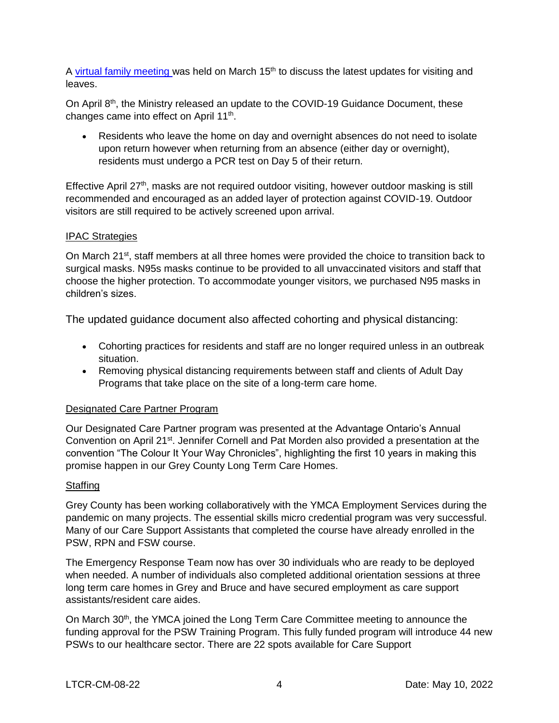A [virtual family meeting w](https://www.youtube.com/watch?v=OoZaQfFLvn0)as held on March  $15<sup>th</sup>$  to discuss the latest updates for visiting and leaves.

On April 8th, the Ministry released an update to the COVID-19 Guidance Document, these changes came into effect on April 11<sup>th</sup>.

 Residents who leave the home on day and overnight absences do not need to isolate upon return however when returning from an absence (either day or overnight), residents must undergo a PCR test on Day 5 of their return.

Effective April  $27<sup>th</sup>$ , masks are not required outdoor visiting, however outdoor masking is still recommended and encouraged as an added layer of protection against COVID-19. Outdoor visitors are still required to be actively screened upon arrival.

#### IPAC Strategies

On March 21<sup>st</sup>, staff members at all three homes were provided the choice to transition back to surgical masks. N95s masks continue to be provided to all unvaccinated visitors and staff that choose the higher protection. To accommodate younger visitors, we purchased N95 masks in children's sizes.

The updated guidance document also affected cohorting and physical distancing:

- Cohorting practices for residents and staff are no longer required unless in an outbreak situation.
- Removing physical distancing requirements between staff and clients of Adult Day Programs that take place on the site of a long-term care home.

#### Designated Care Partner Program

Our Designated Care Partner program was presented at the Advantage Ontario's Annual Convention on April 21<sup>st</sup>. Jennifer Cornell and Pat Morden also provided a presentation at the convention "The Colour It Your Way Chronicles", highlighting the first 10 years in making this promise happen in our Grey County Long Term Care Homes.

#### **Staffing**

Grey County has been working collaboratively with the YMCA Employment Services during the pandemic on many projects. The essential skills micro credential program was very successful. Many of our Care Support Assistants that completed the course have already enrolled in the PSW, RPN and FSW course.

The Emergency Response Team now has over 30 individuals who are ready to be deployed when needed. A number of individuals also completed additional orientation sessions at three long term care homes in Grey and Bruce and have secured employment as care support assistants/resident care aides.

On March 30<sup>th</sup>, the YMCA joined the Long Term Care Committee meeting to announce the funding approval for the PSW Training Program. This fully funded program will introduce 44 new PSWs to our healthcare sector. There are 22 spots available for Care Support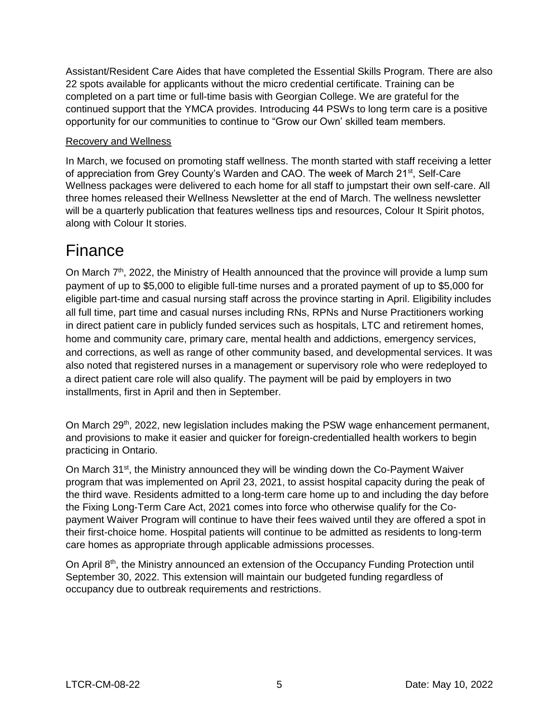Assistant/Resident Care Aides that have completed the Essential Skills Program. There are also 22 spots available for applicants without the micro credential certificate. Training can be completed on a part time or full-time basis with Georgian College. We are grateful for the continued support that the YMCA provides. Introducing 44 PSWs to long term care is a positive opportunity for our communities to continue to "Grow our Own' skilled team members.

#### Recovery and Wellness

In March, we focused on promoting staff wellness. The month started with staff receiving a letter of appreciation from Grey County's Warden and CAO. The week of March 21<sup>st</sup>, Self-Care Wellness packages were delivered to each home for all staff to jumpstart their own self-care. All three homes released their Wellness Newsletter at the end of March. The wellness newsletter will be a quarterly publication that features wellness tips and resources, Colour It Spirit photos, along with Colour It stories.

### **Finance**

On March  $7<sup>th</sup>$ , 2022, the Ministry of Health announced that the province will provide a lump sum payment of up to \$5,000 to eligible full-time nurses and a prorated payment of up to \$5,000 for eligible part-time and casual nursing staff across the province starting in April. Eligibility includes all full time, part time and casual nurses including RNs, RPNs and Nurse Practitioners working in direct patient care in publicly funded services such as hospitals, LTC and retirement homes, home and community care, primary care, mental health and addictions, emergency services, and corrections, as well as range of other community based, and developmental services. It was also noted that registered nurses in a management or supervisory role who were redeployed to a direct patient care role will also qualify. The payment will be paid by employers in two installments, first in April and then in September.

On March 29<sup>th</sup>, 2022, new legislation includes making the PSW wage enhancement permanent, and provisions to make it easier and quicker for foreign-credentialled health workers to begin practicing in Ontario.

On March 31<sup>st</sup>, the Ministry announced they will be winding down the Co-Payment Waiver program that was implemented on April 23, 2021, to assist hospital capacity during the peak of the third wave. Residents admitted to a long-term care home up to and including the day before the Fixing Long-Term Care Act, 2021 comes into force who otherwise qualify for the Copayment Waiver Program will continue to have their fees waived until they are offered a spot in their first-choice home. Hospital patients will continue to be admitted as residents to long-term care homes as appropriate through applicable admissions processes.

On April 8th, the Ministry announced an extension of the Occupancy Funding Protection until September 30, 2022. This extension will maintain our budgeted funding regardless of occupancy due to outbreak requirements and restrictions.